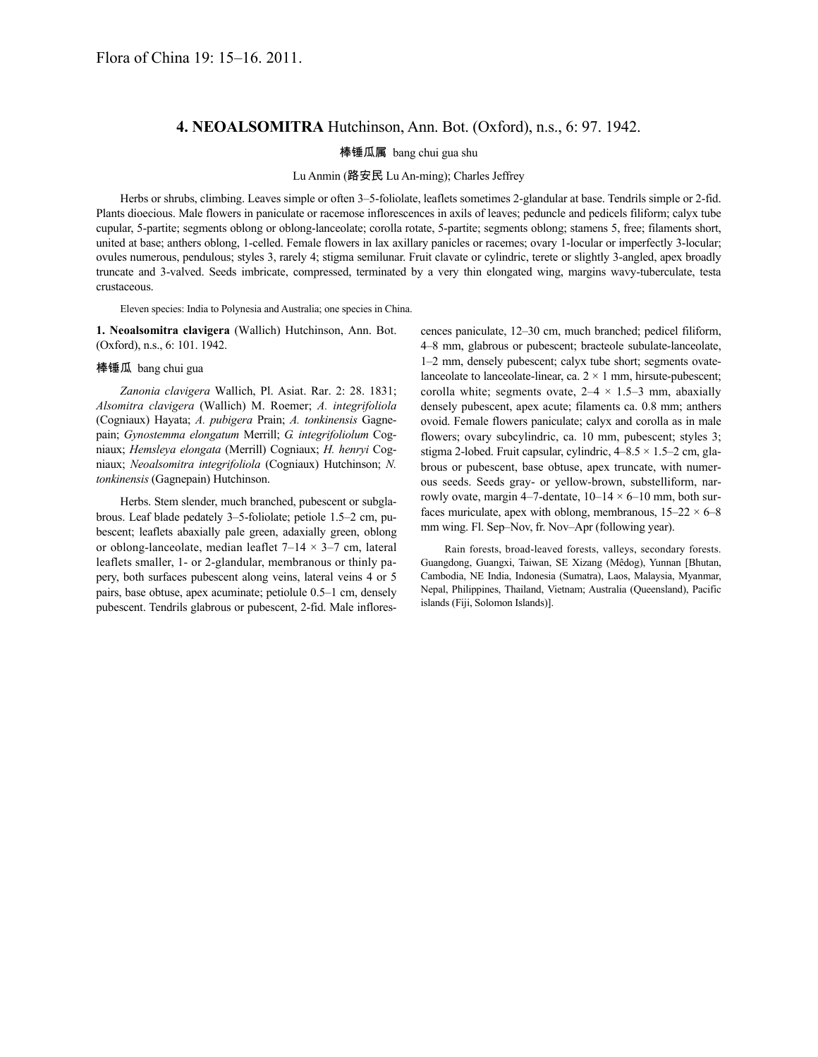## **4. NEOALSOMITRA** Hutchinson, Ann. Bot. (Oxford), n.s., 6: 97. 1942.

## 棒锤瓜属 bang chui gua shu

## Lu Anmin (路安民 Lu An-ming); Charles Jeffrey

Herbs or shrubs, climbing. Leaves simple or often 3–5-foliolate, leaflets sometimes 2-glandular at base. Tendrils simple or 2-fid. Plants dioecious. Male flowers in paniculate or racemose inflorescences in axils of leaves; peduncle and pedicels filiform; calyx tube cupular, 5-partite; segments oblong or oblong-lanceolate; corolla rotate, 5-partite; segments oblong; stamens 5, free; filaments short, united at base; anthers oblong, 1-celled. Female flowers in lax axillary panicles or racemes; ovary 1-locular or imperfectly 3-locular; ovules numerous, pendulous; styles 3, rarely 4; stigma semilunar. Fruit clavate or cylindric, terete or slightly 3-angled, apex broadly truncate and 3-valved. Seeds imbricate, compressed, terminated by a very thin elongated wing, margins wavy-tuberculate, testa crustaceous.

Eleven species: India to Polynesia and Australia; one species in China.

**1. Neoalsomitra clavigera** (Wallich) Hutchinson, Ann. Bot. (Oxford), n.s., 6: 101. 1942.

## 棒锤瓜 bang chui gua

*Zanonia clavigera* Wallich, Pl. Asiat. Rar. 2: 28. 1831; *Alsomitra clavigera* (Wallich) M. Roemer; *A. integrifoliola* (Cogniaux) Hayata; *A. pubigera* Prain; *A. tonkinensis* Gagnepain; *Gynostemma elongatum* Merrill; *G. integrifoliolum* Cogniaux; *Hemsleya elongata* (Merrill) Cogniaux; *H. henryi* Cogniaux; *Neoalsomitra integrifoliola* (Cogniaux) Hutchinson; *N. tonkinensis* (Gagnepain) Hutchinson.

Herbs. Stem slender, much branched, pubescent or subglabrous. Leaf blade pedately 3–5-foliolate; petiole 1.5–2 cm, pubescent; leaflets abaxially pale green, adaxially green, oblong or oblong-lanceolate, median leaflet 7–14 × 3–7 cm, lateral leaflets smaller, 1- or 2-glandular, membranous or thinly papery, both surfaces pubescent along veins, lateral veins 4 or 5 pairs, base obtuse, apex acuminate; petiolule 0.5–1 cm, densely pubescent. Tendrils glabrous or pubescent, 2-fid. Male inflorescences paniculate, 12–30 cm, much branched; pedicel filiform, 4–8 mm, glabrous or pubescent; bracteole subulate-lanceolate, 1–2 mm, densely pubescent; calyx tube short; segments ovatelanceolate to lanceolate-linear, ca.  $2 \times 1$  mm, hirsute-pubescent; corolla white; segments ovate,  $2-4 \times 1.5-3$  mm, abaxially densely pubescent, apex acute; filaments ca. 0.8 mm; anthers ovoid. Female flowers paniculate; calyx and corolla as in male flowers; ovary subcylindric, ca. 10 mm, pubescent; styles 3; stigma 2-lobed. Fruit capsular, cylindric,  $4-8.5 \times 1.5-2$  cm, glabrous or pubescent, base obtuse, apex truncate, with numerous seeds. Seeds gray- or yellow-brown, substelliform, narrowly ovate, margin 4–7-dentate,  $10-14 \times 6-10$  mm, both surfaces muriculate, apex with oblong, membranous,  $15-22 \times 6-8$ mm wing. Fl. Sep–Nov, fr. Nov–Apr (following year).

Rain forests, broad-leaved forests, valleys, secondary forests. Guangdong, Guangxi, Taiwan, SE Xizang (Mêdog), Yunnan [Bhutan, Cambodia, NE India, Indonesia (Sumatra), Laos, Malaysia, Myanmar, Nepal, Philippines, Thailand, Vietnam; Australia (Queensland), Pacific islands (Fiji, Solomon Islands)].